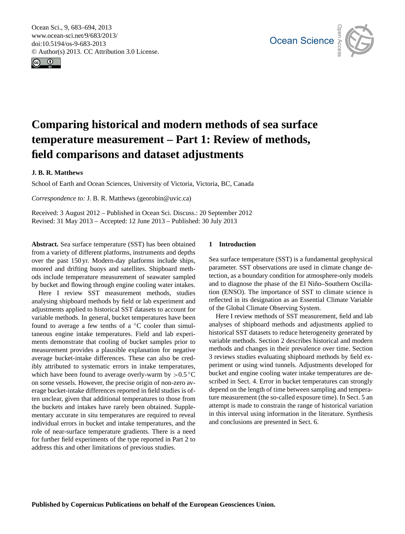<span id="page-0-0"></span>Ocean Sci., 9, 683–694, 2013 www.ocean-sci.net/9/683/2013/ doi:10.5194/os-9-683-2013 © Author(s) 2013. CC Attribution 3.0 License.





# temperature measurement – Part 1: Review of methods, **Comparing historical and modern methods of sea surface field comparisons and dataset adjustments**

# **J. B. R. Matthews**

School of Earth and Ocean Sciences, University of Victoria, Victoria, BC, Canada

*Correspondence to:* J. B. R. Matthews (georobin@uvic.ca)

Received: 3 August 2012 – Published in Ocean Sci. Discuss.: 20 September 2012 Revised: 31 May 2013 – Accepted: 12 June 2013 – Published: 30 July 2013

**Abstract.** Sea surface temperature (SST) has been obtained from a variety of different platforms, instruments and depths over the past 150 yr. Modern-day platforms include ships, moored and drifting buoys and satellites. Shipboard methods include temperature measurement of seawater sampled by bucket and flowing through engine cooling water intakes.

Here I review SST measurement methods, studies analysing shipboard methods by field or lab experiment and adjustments applied to historical SST datasets to account for variable methods. In general, bucket temperatures have been found to average a few tenths of a ◦C cooler than simultaneous engine intake temperatures. Field and lab experiments demonstrate that cooling of bucket samples prior to measurement provides a plausible explanation for negative average bucket-intake differences. These can also be credibly attributed to systematic errors in intake temperatures, which have been found to average overly-warm by  $>0.5\,^{\circ}\mathrm{C}$ on some vessels. However, the precise origin of non-zero average bucket-intake differences reported in field studies is often unclear, given that additional temperatures to those from the buckets and intakes have rarely been obtained. Supplementary accurate in situ temperatures are required to reveal individual errors in bucket and intake temperatures, and the role of near-surface temperature gradients. There is a need for further field experiments of the type reported in Part 2 to address this and other limitations of previous studies.

# **1 Introduction**

Sea surface temperature (SST) is a fundamental geophysical parameter. SST observations are used in climate change detection, as a boundary condition for atmosphere-only models and to diagnose the phase of the El Niño–Southern Oscillation (ENSO). The importance of SST to climate science is reflected in its designation as an Essential Climate Variable of the Global Climate Observing System.

Here I review methods of SST measurement, field and lab analyses of shipboard methods and adjustments applied to historical SST datasets to reduce heterogeneity generated by variable methods. Section 2 describes historical and modern methods and changes in their prevalence over time. Section 3 reviews studies evaluating shipboard methods by field experiment or using wind tunnels. Adjustments developed for bucket and engine cooling water intake temperatures are described in Sect. 4. Error in bucket temperatures can strongly depend on the length of time between sampling and temperature measurement (the so-called exposure time). In Sect. 5 an attempt is made to constrain the range of historical variation in this interval using information in the literature. Synthesis and conclusions are presented in Sect. 6.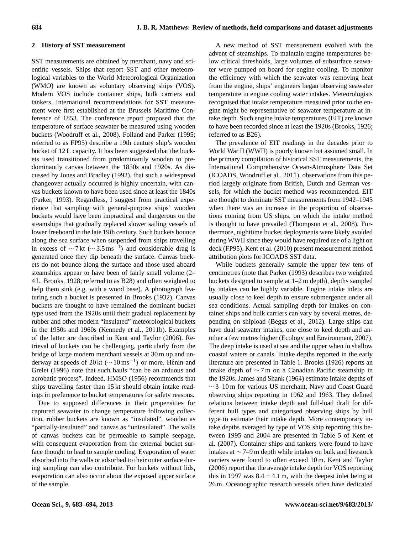## **2 History of SST measurement**

SST measurements are obtained by merchant, navy and scientific vessels. Ships that report SST and other meteorological variables to the World Meteorological Organization (WMO) are known as voluntary observing ships (VOS). Modern VOS include container ships, bulk carriers and tankers. International recommendations for SST measurement were first established at the Brussels Maritime Conference of 1853. The conference report proposed that the temperature of surface seawater be measured using wooden buckets (Woodruff et al., 2008). Folland and Parker (1995; referred to as FP95) describe a 19th century ship's wooden bucket of 12 L capacity. It has been suggested that the buckets used transitioned from predominantly wooden to predominantly canvas between the 1850s and 1920s. As discussed by Jones and Bradley (1992), that such a widespread changeover actually occurred is highly uncertain, with canvas buckets known to have been used since at least the 1840s (Parker, 1993). Regardless, I suggest from practical experience that sampling with general-purpose ships' wooden buckets would have been impractical and dangerous on the steamships that gradually replaced slower sailing vessels of lower freeboard in the late 19th century. Such buckets bounce along the sea surface when suspended from ships travelling in excess of  $\sim$  7 kt ( $\sim$  3.5 ms<sup>-1</sup>) and considerable drag is generated once they dip beneath the surface. Canvas buckets do not bounce along the surface and those used aboard steamships appear to have been of fairly small volume (2– 4 L, Brooks, 1928; referred to as B28) and often weighted to help them sink (e.g. with a wood base). A photograph featuring such a bucket is presented in Brooks (1932). Canvas buckets are thought to have remained the dominant bucket type used from the 1920s until their gradual replacement by rubber and other modern "insulated" meteorological buckets in the 1950s and 1960s (Kennedy et al., 2011b). Examples of the latter are described in Kent and Taylor (2006). Retrieval of buckets can be challenging, particularly from the bridge of large modern merchant vessels at 30 m up and underway at speeds of 20 kt ( $\sim 10 \,\text{ms}^{-1}$ ) or more. Hénin and Grelet (1996) note that such hauls "can be an arduous and acrobatic process". Indeed, HMSO (1956) recommends that ships travelling faster than 15 kt should obtain intake readings in preference to bucket temperatures for safety reasons.

Due to supposed differences in their propensities for captured seawater to change temperature following collection, rubber buckets are known as "insulated", wooden as "partially-insulated" and canvas as "uninsulated". The walls of canvas buckets can be permeable to sample seepage, with consequent evaporation from the external bucket surface thought to lead to sample cooling. Evaporation of water absorbed into the walls or adsorbed to their outer surface during sampling can also contribute. For buckets without lids, evaporation can also occur about the exposed upper surface of the sample.

A new method of SST measurement evolved with the advent of steamships. To maintain engine temperatures below critical thresholds, large volumes of subsurface seawater were pumped on board for engine cooling. To monitor the efficiency with which the seawater was removing heat from the engine, ships' engineers began observing seawater temperature in engine cooling water intakes. Meteorologists recognised that intake temperature measured prior to the engine might be representative of seawater temperature at intake depth. Such engine intake temperatures (EIT) are known to have been recorded since at least the 1920s (Brooks, 1926; referred to as B26).

The prevalence of EIT readings in the decades prior to World War II (WWII) is poorly known but assumed small. In the primary compilation of historical SST measurements, the International Comprehensive Ocean-Atmosphere Data Set (ICOADS, Woodruff et al., 2011), observations from this period largely originate from British, Dutch and German vessels, for which the bucket method was recommended. EIT are thought to dominate SST measurements from 1942–1945 when there was an increase in the proportion of observations coming from US ships, on which the intake method is thought to have prevailed (Thompson et al., 2008). Furthermore, nighttime bucket deployments were likely avoided during WWII since they would have required use of a light on deck (FP95). Kent et al. (2010) present measurement method attribution plots for ICOADS SST data.

While buckets generally sample the upper few tens of centimetres (note that Parker (1993) describes two weighted buckets designed to sample at 1–2 m depth), depths sampled by intakes can be highly variable. Engine intake inlets are usually close to keel depth to ensure submergence under all sea conditions. Actual sampling depth for intakes on container ships and bulk carriers can vary by several metres, depending on shipload (Beggs et al., 2012). Large ships can have dual seawater intakes, one close to keel depth and another a few metres higher (Ecology and Environment, 2007). The deep intake is used at sea and the upper when in shallow coastal waters or canals. Intake depths reported in the early literature are presented in Table 1. Brooks (1926) reports an intake depth of ∼ 7 m on a Canadian Pacific steamship in the 1920s. James and Shank (1964) estimate intake depths of ∼ 3–10 m for various US merchant, Navy and Coast Guard observing ships reporting in 1962 and 1963. They defined relations between intake depth and full-load draft for different hull types and categorised observing ships by hull type to estimate their intake depth. More contemporary intake depths averaged by type of VOS ship reporting this between 1995 and 2004 are presented in Table 5 of Kent et al. (2007). Container ships and tankers were found to have intakes at ∼ 7–9 m depth while intakes on bulk and livestock carriers were found to often exceed 10 m. Kent and Taylor (2006) report that the average intake depth for VOS reporting this in 1997 was  $8.4 \pm 4.1$  m, with the deepest inlet being at 26 m. Oceanographic research vessels often have dedicated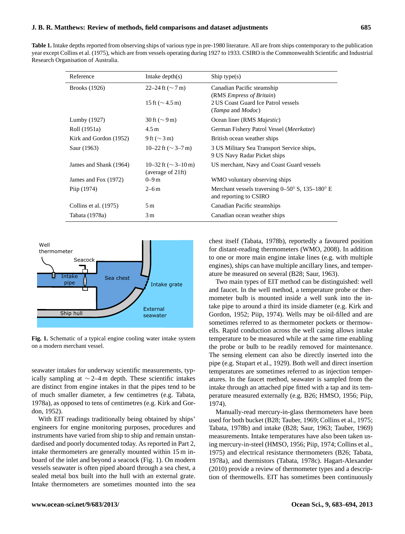# **J. B. R. Matthews: Review of methods, field comparisons and dataset adjustments 685**

**Table 1.** Intake depths reported from observing ships of various type in pre-1980 literature. All are from ships contemporary to the publication year except Collins et al. (1975), which are from vessels operating during 1927 to 1933. CSIRO is the Commonwealth Scientific and Industrial Research Organisation of Australia.

| Reference              | Intake depth $(s)$                             | Ship type $(s)$                                                                              |
|------------------------|------------------------------------------------|----------------------------------------------------------------------------------------------|
| Brooks (1926)          | 22–24 ft $({\sim}7 \text{ m})$                 | Canadian Pacific steamship<br>(RMS Empress of Britain)                                       |
|                        | 15 ft $({\sim}4.5 \,\mathrm{m})$               | 2 US Coast Guard Ice Patrol vessels<br>( <i>Tampa</i> and <i>Modoc</i> )                     |
| Lumby $(1927)$         | 30 ft ( $\sim$ 9 m)                            | Ocean liner (RMS <i>Majestic</i> )                                                           |
| Roll (1951a)           | 4.5 <sub>m</sub>                               | German Fishery Patrol Vessel (Meerkatze)                                                     |
| Kirk and Gordon (1952) | 9 ft ( $\sim$ 3 m)                             | British ocean weather ships                                                                  |
| Saur (1963)            | 10–22 ft $({\sim}3-7$ m)                       | 3 US Military Sea Transport Service ships,<br>9 US Navy Radar Picket ships                   |
| James and Shank (1964) | 10–32 ft ( $\sim$ 3–10 m)<br>(average of 21ft) | US merchant, Navy and Coast Guard vessels                                                    |
| James and Fox (1972)   | $0-9m$                                         | WMO voluntary observing ships                                                                |
| Piip (1974)            | $2 - 6m$                                       | Merchant vessels traversing $0-50^{\circ}$ S, 135-180 $^{\circ}$ E<br>and reporting to CSIRO |
| Collins et al. (1975)  | 5 m                                            | Canadian Pacific steamships                                                                  |
| Tabata (1978a)         | 3 <sub>m</sub>                                 | Canadian ocean weather ships                                                                 |



**Fig. 1.** Schematic of a typical engine cooling water intake system on a modern merchant vessel.

seawater intakes for underway scientific measurements, typically sampling at  $\sim$  2–4 m depth. These scientific intakes are distinct from engine intakes in that the pipes tend to be of much smaller diameter, a few centimetres (e.g. Tabata, 1978a), as opposed to tens of centimetres (e.g. Kirk and Gordon, 1952).

With EIT readings traditionally being obtained by ships' engineers for engine monitoring purposes, procedures and instruments have varied from ship to ship and remain unstandardised and poorly documented today. As reported in Part 2, intake thermometers are generally mounted within 15 m inboard of the inlet and beyond a seacock (Fig. 1). On modern vessels seawater is often piped aboard through a sea chest, a sealed metal box built into the hull with an external grate. Intake thermometers are sometimes mounted into the sea chest itself (Tabata, 1978b), reportedly a favoured position for distant-reading thermometers (WMO, 2008). In addition to one or more main engine intake lines (e.g. with multiple engines), ships can have multiple ancillary lines, and temperature be measured on several (B28; Saur, 1963).

Two main types of EIT method can be distinguished: well and faucet. In the well method, a temperature probe or thermometer bulb is mounted inside a well sunk into the intake pipe to around a third its inside diameter (e.g. Kirk and Gordon, 1952; Piip, 1974). Wells may be oil-filled and are sometimes referred to as thermometer pockets or thermowells. Rapid conduction across the well casing allows intake temperature to be measured while at the same time enabling the probe or bulb to be readily removed for maintenance. The sensing element can also be directly inserted into the pipe (e.g. Stupart et al., 1929). Both well and direct insertion temperatures are sometimes referred to as injection temperatures. In the faucet method, seawater is sampled from the intake through an attached pipe fitted with a tap and its temperature measured externally (e.g. B26; HMSO, 1956; Piip, 1974).

Manually-read mercury-in-glass thermometers have been used for both bucket (B28; Tauber, 1969; Collins et al., 1975; Tabata, 1978b) and intake (B28; Saur, 1963; Tauber, 1969) measurements. Intake temperatures have also been taken using mercury-in-steel (HMSO, 1956; Piip, 1974; Collins et al., 1975) and electrical resistance thermometers (B26; Tabata, 1978a), and thermistors (Tabata, 1978c). Hagart-Alexander (2010) provide a review of thermometer types and a description of thermowells. EIT has sometimes been continuously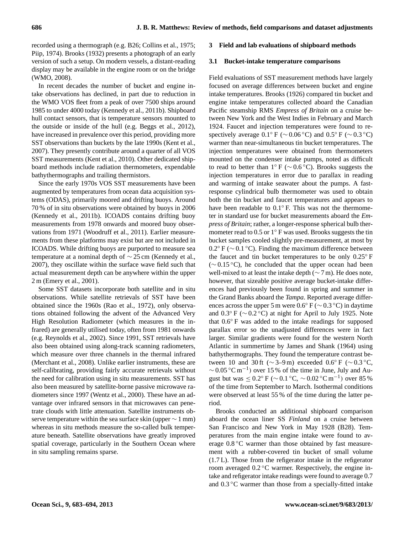recorded using a thermograph (e.g. B26; Collins et al., 1975; Piip, 1974). Brooks (1932) presents a photograph of an early version of such a setup. On modern vessels, a distant-reading display may be available in the engine room or on the bridge (WMO, 2008).

In recent decades the number of bucket and engine intake observations has declined, in part due to reduction in the WMO VOS fleet from a peak of over 7500 ships around 1985 to under 4000 today (Kennedy et al., 2011b). Shipboard hull contact sensors, that is temperature sensors mounted to the outside or inside of the hull (e.g. Beggs et al., 2012), have increased in prevalence over this period, providing more SST observations than buckets by the late 1990s (Kent et al., 2007). They presently contribute around a quarter of all VOS SST measurements (Kent et al., 2010). Other dedicated shipboard methods include radiation thermometers, expendable bathythermographs and trailing thermistors.

Since the early 1970s VOS SST measurements have been augmented by temperatures from ocean data acquisition systems (ODAS), primarily moored and drifting buoys. Around 70 % of in situ observations were obtained by buoys in 2006 (Kennedy et al., 2011b). ICOADS contains drifting buoy measurements from 1978 onwards and moored buoy observations from 1971 (Woodruff et al., 2011). Earlier measurements from these platforms may exist but are not included in ICOADS. While drifting buoys are purported to measure sea temperature at a nominal depth of ∼ 25 cm (Kennedy et al., 2007), they oscillate within the surface wave field such that actual measurement depth can be anywhere within the upper 2 m (Emery et al., 2001).

Some SST datasets incorporate both satellite and in situ observations. While satellite retrievals of SST have been obtained since the 1960s (Rao et al., 1972), only observations obtained following the advent of the Advanced Very High Resolution Radiometer (which measures in the infrared) are generally utilised today, often from 1981 onwards (e.g. Reynolds et al., 2002). Since 1991, SST retrievals have also been obtained using along-track scanning radiometers, which measure over three channels in the thermal infrared (Merchant et al., 2008). Unlike earlier instruments, these are self-calibrating, providing fairly accurate retrievals without the need for calibration using in situ measurements. SST has also been measured by satellite-borne passive microwave radiometers since 1997 (Wentz et al., 2000). These have an advantage over infrared sensors in that microwaves can penetrate clouds with little attenuation. Satellite instruments observe temperature within the sea surface skin (upper  $\sim 1$  mm) whereas in situ methods measure the so-called bulk temperature beneath. Satellite observations have greatly improved spatial coverage, particularly in the Southern Ocean where in situ sampling remains sparse.

### **3 Field and lab evaluations of shipboard methods**

#### **3.1 Bucket-intake temperature comparisons**

Field evaluations of SST measurement methods have largely focused on average differences between bucket and engine intake temperatures. Brooks (1926) compared tin bucket and engine intake temperatures collected aboard the Canadian Pacific steamship RMS *Empress of Britain* on a cruise between New York and the West Indies in February and March 1924. Faucet and injection temperatures were found to respectively average  $0.1° F (\sim 0.06 °C)$  and  $0.5° F (\sim 0.3 °C)$ warmer than near-simultaneous tin bucket temperatures. The injection temperatures were obtained from thermometers mounted on the condenser intake pumps, noted as difficult to read to better than 1 $\degree$  F ( $\sim$  0.6 $\degree$ C). Brooks suggests the injection temperatures in error due to parallax in reading and warming of intake seawater about the pumps. A fastresponse cylindrical bulb thermometer was used to obtain both the tin bucket and faucet temperatures and appears to have been readable to 0.1<sup>◦</sup> F. This was not the thermometer in standard use for bucket measurements aboard the *Empress of Britain*; rather, a longer-response spherical bulb thermometer read to 0.5 or 1<sup>°</sup> F was used. Brooks suggests the tin bucket samples cooled slightly pre-measurement, at most by  $0.2°$  F ( $\sim 0.1°$ C). Finding the maximum difference between the faucet and tin bucket temperatures to be only  $0.25^{\circ}$  F (∼ 0.15 ◦C), he concluded that the upper ocean had been well-mixed to at least the intake depth ( $\sim$  7 m). He does note, however, that sizeable positive average bucket-intake differences had previously been found in spring and summer in the Grand Banks aboard the *Tampa*. Reported average differences across the upper 5 m were  $0.6° F (\sim 0.3 °C)$  in daytime and  $0.3°$  F ( $\sim 0.2°$ C) at night for April to July 1925. Note that 0.6◦ F was added to the intake readings for supposed parallax error so the unadjusted differences were in fact larger. Similar gradients were found for the western North Atlantic in summertime by James and Shank (1964) using bathythermographs. They found the temperature contrast between 10 and 30 ft ( $\sim$  3–9 m) exceeded 0.6° F ( $\sim$  0.3 °C,  $\sim$  0.05 °C m<sup>-1</sup>) over 15 % of the time in June, July and August but was  $\leq 0.2^{\circ}$  F ( $\sim 0.1$  °C,  $\sim 0.02$  °C m<sup>-1</sup>) over 85 % of the time from September to March. Isothermal conditions were observed at least 55 % of the time during the latter period.

Brooks conducted an additional shipboard comparison aboard the ocean liner SS *Finland* on a cruise between San Francisco and New York in May 1928 (B28). Temperatures from the main engine intake were found to average 0.8 ◦C warmer than those obtained by fast measurement with a rubber-covered tin bucket of small volume (1.7 L). Those from the refigerator intake in the refigerator room averaged 0.2 ◦C warmer. Respectively, the engine intake and refigerator intake readings were found to average 0.7 and 0.3 ◦C warmer than those from a specially-fitted intake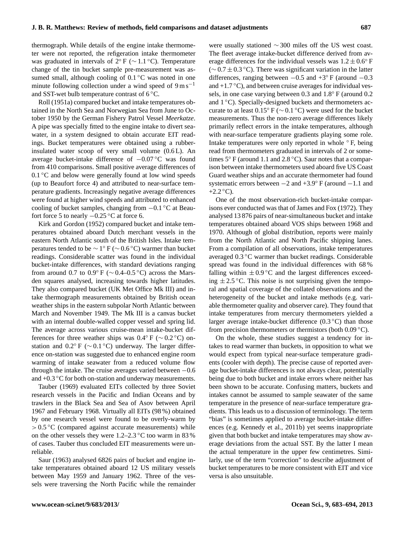thermograph. While details of the engine intake thermometer were not reported, the refigeration intake thermometer was graduated in intervals of  $2°$  F ( $\sim$  1.1 °C). Temperature change of the tin bucket sample pre-measurement was assumed small, although cooling of  $0.1\degree$ C was noted in one minute following collection under a wind speed of  $9 \text{ m s}^{-1}$ and SST-wet bulb temperature contrast of 6 ◦C.

Roll (1951a) compared bucket and intake temperatures obtained in the North Sea and Norwegian Sea from June to October 1950 by the German Fishery Patrol Vessel *Meerkatze*. A pipe was specially fitted to the engine intake to divert seawater, in a system designed to obtain accurate EIT readings. Bucket temperatures were obtained using a rubberinsulated water scoop of very small volume (0.6 L). An average bucket-intake difference of −0.07 ◦C was found from 410 comparisons. Small positive average differences of  $0.1 \degree$ C and below were generally found at low wind speeds (up to Beaufort force 4) and attributed to near-surface temperature gradients. Increasingly negative average differences were found at higher wind speeds and attributed to enhanced cooling of bucket samples, changing from −0.1 ◦C at Beaufort force 5 to nearly  $-0.25$  °C at force 6.

Kirk and Gordon (1952) compared bucket and intake temperatures obtained aboard Dutch merchant vessels in the eastern North Atlantic south of the British Isles. Intake temperatures tended to be  $\sim 1^{\circ}$  F ( $\sim 0.6^{\circ}$ C) warmer than bucket readings. Considerable scatter was found in the individual bucket-intake differences, with standard deviations ranging from around 0.7 to 0.9° F ( $\sim$  0.4–0.5 °C) across the Marsden squares analysed, increasing towards higher latitudes. They also compared bucket (UK Met Office Mk III) and intake thermograph measurements obtained by British ocean weather ships in the eastern subpolar North Atlantic between March and November 1949. The Mk III is a canvas bucket with an internal double-walled copper vessel and spring lid. The average across various cruise-mean intake-bucket differences for three weather ships was  $0.4° F (~0.2°C)$  onstation and  $0.2°$  F (~ 0.1 °C) underway. The larger difference on-station was suggested due to enhanced engine room warming of intake seawater from a reduced volume flow through the intake. The cruise averages varied between  $-0.6$ and  $+0.3 \degree C$  for both on-station and underway measurements.

Tauber (1969) evaluated EITs collected by three Soviet research vessels in the Pacific and Indian Oceans and by trawlers in the Black Sea and Sea of Asov between April 1967 and February 1968. Virtually all EITs (98 %) obtained by one research vessel were found to be overly-warm by  $> 0.5\degree$ C (compared against accurate measurements) while on the other vessels they were 1.2–2.3 ◦C too warm in 83 % of cases. Tauber thus concluded EIT measurements were unreliable.

Saur (1963) analysed 6826 pairs of bucket and engine intake temperatures obtained aboard 12 US military vessels between May 1959 and January 1962. Three of the vessels were traversing the North Pacific while the remainder

were usually stationed ∼ 300 miles off the US west coast. The fleet average intake-bucket difference derived from average differences for the individual vessels was  $1.2 \pm 0.6$ °F  $(∼ 0.7 ± 0.3 °C)$ . There was significant variation in the latter differences, ranging between  $-0.5$  and  $+3°$  F (around  $-0.3$ and  $+1.7\,^{\circ}\text{C}$ ), and between cruise averages for individual vessels, in one case varying between 0.3 and 1.8◦ F (around 0.2 and 1 ◦C). Specially-designed buckets and thermometers accurate to at least  $0.15° F (\sim 0.1 °C)$  were used for the bucket measurements. Thus the non-zero average differences likely primarily reflect errors in the intake temperatures, although with near-surface temperature gradients playing some role. Intake temperatures were only reported in whole ◦ F, being read from thermometers graduated in intervals of 2 or sometimes  $5°$  F (around 1.1 and 2.8 °C). Saur notes that a comparison between intake thermometers used aboard five US Coast Guard weather ships and an accurate thermometer had found systematic errors between  $-2$  and  $+3.9°$  F (around  $-1.1$  and  $+2.2$  °C).

One of the most observation-rich bucket-intake comparisons ever conducted was that of James and Fox (1972). They analysed 13 876 pairs of near-simultaneous bucket and intake temperatures obtained aboard VOS ships between 1968 and 1970. Although of global distribution, reports were mainly from the North Atlantic and North Pacific shipping lanes. From a compilation of all observations, intake temperatures averaged 0.3 ◦C warmer than bucket readings. Considerable spread was found in the individual differences with 68 % falling within  $\pm 0.9^{\circ}$ C and the largest differences exceeding  $\pm 2.5$  °C. This noise is not surprising given the temporal and spatial coverage of the collated observations and the heterogeneity of the bucket and intake methods (e.g. variable thermometer quality and observer care). They found that intake temperatures from mercury thermometers yielded a larger average intake-bucket difference  $(0.3 \degree C)$  than those from precision thermometers or thermistors (both  $0.09\degree C$ ).

On the whole, these studies suggest a tendency for intakes to read warmer than buckets, in opposition to what we would expect from typical near-surface temperature gradients (cooler with depth). The precise cause of reported average bucket-intake differences is not always clear, potentially being due to both bucket and intake errors where neither has been shown to be accurate. Confusing matters, buckets and intakes cannot be assumed to sample seawater of the same temperature in the presence of near-surface temperature gradients. This leads us to a discussion of terminology. The term "bias" is sometimes applied to average bucket-intake differences (e.g. Kennedy et al., 2011b) yet seems inappropriate given that both bucket and intake temperatures may show average deviations from the actual SST. By the latter I mean the actual temperature in the upper few centimetres. Similarly, use of the term "correction" to describe adjustment of bucket temperatures to be more consistent with EIT and vice versa is also unsuitable.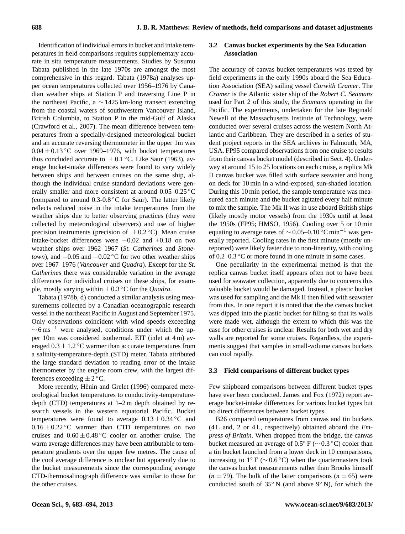Identification of individual errors in bucket and intake temperatures in field comparisons requires supplementary accurate in situ temperature measurements. Studies by Susumu Tabata published in the late 1970s are amongst the most comprehensive in this regard. Tabata (1978a) analyses upper ocean temperatures collected over 1956–1976 by Canadian weather ships at Station P and traversing Line P in the northeast Pacific, a ∼ 1425 km-long transect extending from the coastal waters of southwestern Vancouver Island, British Columbia, to Station P in the mid-Gulf of Alaska (Crawford et al., 2007). The mean difference between temperatures from a specially-designed meteorological bucket and an accurate reversing thermometer in the upper 1m was  $0.04 \pm 0.13$  °C over 1969–1976, with bucket temperatures thus concluded accurate to  $\pm 0.1$  °C. Like Saur (1963), average bucket-intake differences were found to vary widely between ships and between cruises on the same ship, although the individual cruise standard deviations were generally smaller and more consistent at around 0.05–0.25 °C (compared to around  $0.3{\text -}0.8$  °C for Saur). The latter likely reflects reduced noise in the intake temperatures from the weather ships due to better observing practices (they were collected by meteorological observers) and use of higher precision instruments (precision of  $\pm 0.2$  °C). Mean cruise intake-bucket differences were −0.02 and +0.18 on two weather ships over 1962–1967 (*St. Catherines* and *Stonetown*), and −0.05 and −0.02 °C for two other weather ships over 1967–1976 (*Vancouver* and *Quadra*). Except for the *St. Catherines* there was considerable variation in the average differences for individual cruises on these ships, for example, mostly varying within  $\pm$  0.3 °C for the *Quadra*.

Tabata (1978b, d) conducted a similar analysis using measurements collected by a Canadian oceanographic research vessel in the northeast Pacific in August and September 1975. Only observations coincident with wind speeds exceeding  $\sim 6 \,\text{ms}^{-1}$  were analysed, conditions under which the upper 10m was considered isothermal. EIT (inlet at 4 m) averaged  $0.3 \pm 1.2$  °C warmer than accurate temperatures from a salinity-temperature-depth (STD) meter. Tabata attributed the large standard deviation to reading error of the intake thermometer by the engine room crew, with the largest differences exceeding  $\pm 2^{\circ}$ C.

More recently, Hénin and Grelet (1996) compared meteorological bucket temperatures to conductivity-temperaturedepth (CTD) temperatures at 1–2 m depth obtained by research vessels in the western equatorial Pacific. Bucket temperatures were found to average  $0.13 \pm 0.34$  °C and  $0.16 \pm 0.22$  °C warmer than CTD temperatures on two cruises and  $0.60 \pm 0.48$  °C cooler on another cruise. The warm average differences may have been attributable to temperature gradients over the upper few metres. The cause of the cool average difference is unclear but apparently due to the bucket measurements since the corresponding average CTD-thermosalinograph difference was similar to those for the other cruises.

# **3.2 Canvas bucket experiments by the Sea Education Association**

The accuracy of canvas bucket temperatures was tested by field experiments in the early 1990s aboard the Sea Education Association (SEA) sailing vessel *Corwith Cramer*. The *Cramer* is the Atlantic sister ship of the *Robert C. Seamans* used for Part 2 of this study, the *Seamans* operating in the Pacific. The experiments, undertaken for the late Reginald Newell of the Massachusetts Institute of Technology, were conducted over several cruises across the western North Atlantic and Caribbean. They are described in a series of student project reports in the SEA archives in Falmouth, MA, USA. FP95 compared observations from one cruise to results from their canvas bucket model (described in Sect. 4). Underway at around 15 to 25 locations on each cruise, a replica Mk II canvas bucket was filled with surface seawater and hung on deck for 10 min in a wind-exposed, sun-shaded location. During this 10 min period, the sample temperature was measured each minute and the bucket agitated every half minute to mix the sample. The Mk II was in use aboard British ships (likely mostly motor vessels) from the 1930s until at least the 1950s (FP95; HMSO, 1956). Cooling over 5 or 10 min equating to average rates of  $\sim$  0.05–0.10 °C min<sup>-1</sup> was generally reported. Cooling rates in the first minute (mostly unreported) were likely faster due to non-linearity, with cooling of 0.2–0.3 ◦C or more found in one minute in some cases.

One peculiarity in the experimental method is that the replica canvas bucket itself appears often not to have been used for seawater collection, apparently due to concerns this valuable bucket would be damaged. Instead, a plastic bucket was used for sampling and the Mk II then filled with seawater from this. In one report it is noted that the the canvas bucket was dipped into the plastic bucket for filling so that its walls were made wet, although the extent to which this was the case for other cruises is unclear. Results for both wet and dry walls are reported for some cruises. Regardless, the experiments suggest that samples in small-volume canvas buckets can cool rapidly.

# **3.3 Field comparisons of different bucket types**

Few shipboard comparisons between different bucket types have ever been conducted. James and Fox (1972) report average bucket-intake differences for various bucket types but no direct differences between bucket types.

B26 compared temperatures from canvas and tin buckets (4 L and, 2 or 4 L, respectively) obtained aboard the *Empress of Britain*. When dropped from the bridge, the canvas bucket measured an average of  $0.5°$  F ( $\sim 0.3°$ C) cooler than a tin bucket launched from a lower deck in 10 comparisons, increasing to  $1°$  F ( $\sim$  0.6 °C) when the quartermasters took the canvas bucket measurements rather than Brooks himself  $(n = 79)$ . The bulk of the latter comparisons  $(n = 65)$  were conducted south of  $35°$  N (and above  $9°$  N), for which the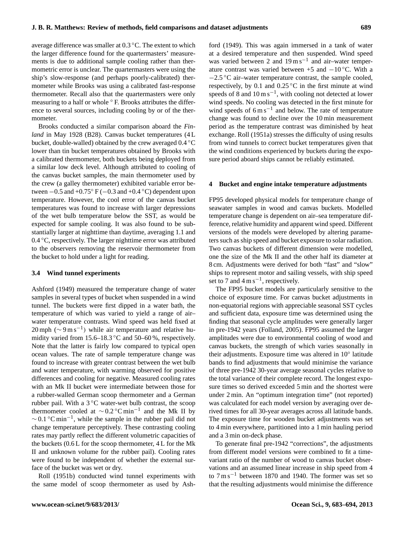average difference was smaller at 0.3 ◦C. The extent to which the larger difference found for the quartermasters' measurements is due to additional sample cooling rather than thermometric error is unclear. The quartermasters were using the ship's slow-response (and perhaps poorly-calibrated) thermometer while Brooks was using a calibrated fast-response thermometer. Recall also that the quartermasters were only measuring to a half or whole ◦ F. Brooks attributes the difference to several sources, including cooling by or of the thermometer.

Brooks conducted a similar comparison aboard the *Finland* in May 1928 (B28). Canvas bucket temperatures (4 L bucket, double-walled) obtained by the crew averaged 0.4 ◦C lower than tin bucket temperatures obtained by Brooks with a calibrated thermometer, both buckets being deployed from a similar low deck level. Although attributed to cooling of the canvas bucket samples, the main thermometer used by the crew (a galley thermometer) exhibited variable error between  $-0.5$  and  $+0.75^{\circ}$  F ( $-0.3$  and  $+0.4^{\circ}$ C) dependent upon temperature. However, the cool error of the canvas bucket temperatures was found to increase with larger depressions of the wet bulb temperature below the SST, as would be expected for sample cooling. It was also found to be substantially larger at nighttime than daytime, averaging 1.1 and 0.4 ◦C, respectively. The larger nighttime error was attributed to the observers removing the reservoir thermometer from the bucket to hold under a light for reading.

#### **3.4 Wind tunnel experiments**

Ashford (1949) measured the temperature change of water samples in several types of bucket when suspended in a wind tunnel. The buckets were first dipped in a water bath, the temperature of which was varied to yield a range of air– water temperature contrasts. Wind speed was held fixed at 20 mph ( $\sim$  9 m s<sup>-1</sup>) while air temperature and relative humidity varied from 15.6–18.3 ◦C and 50–60 %, respectively. Note that the latter is fairly low compared to typical open ocean values. The rate of sample temperature change was found to increase with greater contrast between the wet bulb and water temperature, with warming observed for positive differences and cooling for negative. Measured cooling rates with an Mk II bucket were intermediate between those for a rubber-walled German scoop thermometer and a German rubber pail. With a  $3^{\circ}$ C water-wet bulb contrast, the scoop thermometer cooled at  $\sim 0.2$  °C min<sup>-1</sup> and the Mk II by  $\sim$  0.1 °C min<sup>-1</sup>, while the sample in the rubber pail did not change temperature perceptively. These contrasting cooling rates may partly reflect the different volumetric capacities of the buckets (0.6 L for the scoop thermometer, 4 L for the Mk II and unknown volume for the rubber pail). Cooling rates were found to be independent of whether the external surface of the bucket was wet or dry.

Roll (1951b) conducted wind tunnel experiments with the same model of scoop thermometer as used by Ashford (1949). This was again immersed in a tank of water at a desired temperature and then suspended. Wind speed was varied between 2 and  $19 \text{ m s}^{-1}$  and air–water temperature contrast was varied between +5 and  $-10$  °C. With a −2.5 ◦C air–water temperature contrast, the sample cooled, respectively, by 0.1 and  $0.25\,^{\circ}\text{C}$  in the first minute at wind speeds of 8 and 10 m s<sup>-1</sup>, with cooling not detected at lower wind speeds. No cooling was detected in the first minute for wind speeds of  $6 \text{ m s}^{-1}$  and below. The rate of temperature change was found to decline over the 10 min measurement period as the temperature contrast was diminished by heat exchange. Roll (1951a) stresses the difficulty of using results from wind tunnels to correct bucket temperatures given that the wind conditions experienced by buckets during the exposure period aboard ships cannot be reliably estimated.

### **4 Bucket and engine intake temperature adjustments**

FP95 developed physical models for temperature change of seawater samples in wood and canvas buckets. Modelled temperature change is dependent on air–sea temperature difference, relative humidity and apparent wind speed. Different versions of the models were developed by altering parameters such as ship speed and bucket exposure to solar radiation. Two canvas buckets of different dimension were modelled, one the size of the Mk II and the other half its diameter at 8 cm. Adjustments were derived for both "fast" and "slow" ships to represent motor and sailing vessels, with ship speed set to 7 and  $4 \text{ m s}^{-1}$ , respectively.

The FP95 bucket models are particularly sensitive to the choice of exposure time. For canvas bucket adjustments in non-equatorial regions with appreciable seasonal SST cycles and sufficient data, exposure time was determined using the finding that seasonal cycle amplitudes were generally larger in pre-1942 years (Folland, 2005). FP95 assumed the larger amplitudes were due to environmental cooling of wood and canvas buckets, the strength of which varies seasonally in their adjustments. Exposure time was altered in 10° latitude bands to find adjustments that would minimise the variance of three pre-1942 30-year average seasonal cycles relative to the total variance of their complete record. The longest exposure times so derived exceeded 5 min and the shortest were under 2 min. An "optimum integration time" (not reported) was calculated for each model version by averaging over derived times for all 30-year averages across all latitude bands. The exposure time for wooden bucket adjustments was set to 4 min everywhere, partitioned into a 1 min hauling period and a 3 min on-deck phase.

To generate final pre-1942 "corrections", the adjustments from different model versions were combined to fit a timevariant ratio of the number of wood to canvas bucket observations and an assumed linear increase in ship speed from 4 to  $7 \text{ m s}^{-1}$  between 1870 and 1940. The former was set so that the resulting adjustments would minimise the difference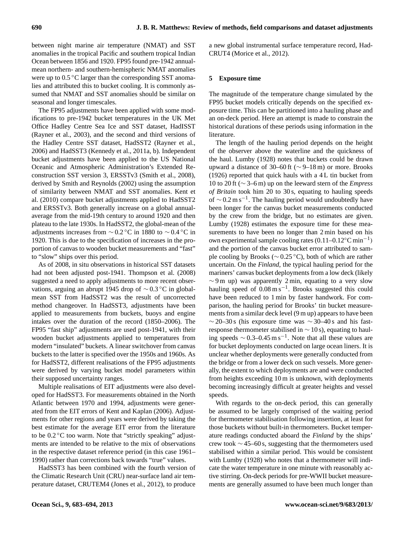between night marine air temperature (NMAT) and SST anomalies in the tropical Pacific and southern tropical Indian Ocean between 1856 and 1920. FP95 found pre-1942 annualmean northern- and southern-hemispheric NMAT anomalies were up to  $0.5\,^{\circ}\text{C}$  larger than the corresponding SST anomalies and attributed this to bucket cooling. It is commonly assumed that NMAT and SST anomalies should be similar on seasonal and longer timescales.

The FP95 adjustments have been applied with some modifications to pre-1942 bucket temperatures in the UK Met Office Hadley Centre Sea Ice and SST dataset, HadISST (Rayner et al., 2003), and the second and third versions of the Hadley Centre SST dataset, HadSST2 (Rayner et al., 2006) and HadSST3 (Kennedy et al., 2011a, b). Independent bucket adjustments have been applied to the US National Oceanic and Atmospheric Administration's Extended Reconstruction SST version 3, ERSSTv3 (Smith et al., 2008), derived by Smith and Reynolds (2002) using the assumption of similarity between NMAT and SST anomalies. Kent et al. (2010) compare bucket adjustments applied to HadSST2 and ERSSTv3. Both generally increase on a global annualaverage from the mid-19th century to around 1920 and then plateau to the late 1930s. In HadSST2, the global-mean of the adjustments increases from  $\sim 0.2$  °C in 1880 to  $\sim 0.4$  °C in 1920. This is due to the specification of increases in the proportion of canvas to wooden bucket measurements and "fast" to "slow" ships over this period.

As of 2008, in situ observations in historical SST datasets had not been adjusted post-1941. Thompson et al. (2008) suggested a need to apply adjustments to more recent observations, arguing an abrupt 1945 drop of ∼ 0.3 ◦C in globalmean SST from HadSST2 was the result of uncorrected method changeover. In HadSST3, adjustments have been applied to measurements from buckets, buoys and engine intakes over the duration of the record (1850–2006). The FP95 "fast ship" adjustments are used post-1941, with their wooden bucket adjustments applied to temperatures from modern "insulated" buckets. A linear switchover from canvas buckets to the latter is specified over the 1950s and 1960s. As for HadSST2, different realisations of the FP95 adjustments were derived by varying bucket model parameters within their supposed uncertainty ranges.

Multiple realisations of EIT adjustments were also developed for HadSST3. For measurements obtained in the North Atlantic between 1970 and 1994, adjustments were generated from the EIT errors of Kent and Kaplan (2006). Adjustments for other regions and years were derived by taking the best estimate for the average EIT error from the literature to be  $0.2 \degree$ C too warm. Note that "strictly speaking" adjustments are intended to be relative to the mix of observations in the respective dataset reference period (in this case 1961– 1990) rather than corrections back towards "true" values.

HadSST3 has been combined with the fourth version of the Climatic Research Unit (CRU) near-surface land air temperature dataset, CRUTEM4 (Jones et al., 2012), to produce a new global instrumental surface temperature record, Had-CRUT4 (Morice et al., 2012).

# **5 Exposure time**

The magnitude of the temperature change simulated by the FP95 bucket models critically depends on the specified exposure time. This can be partitioned into a hauling phase and an on-deck period. Here an attempt is made to constrain the historical durations of these periods using information in the literature.

The length of the hauling period depends on the height of the observer above the waterline and the quickness of the haul. Lumby (1928) notes that buckets could be drawn upward a distance of 30–60 ft (∼ 9–18 m) or more. Brooks  $(1926)$  reported that quick hauls with a 4 L tin bucket from 10 to 20 ft (∼ 3–6 m) up on the leeward stern of the *Empress of Britain* took him 20 to 30 s, equating to hauling speeds of  $\sim$  0.2 m s<sup>-1</sup>. The hauling period would undoubtedly have been longer for the canvas bucket measurements conducted by the crew from the bridge, but no estimates are given. Lumby (1928) estimates the exposure time for these measurements to have been no longer than 2 min based on his own experimental sample cooling rates (0.11–0.12◦C min−<sup>1</sup> ) and the portion of the canvas bucket error attributed to sample cooling by Brooks (∼ 0.25 ◦C), both of which are rather uncertain. On the *Finland*, the typical hauling period for the mariners' canvas bucket deployments from a low deck (likely  $\sim$ 9 m up) was apparently 2 min, equating to a very slow hauling speed of 0.08 m s<sup>-1</sup>. Brooks suggested this could have been reduced to 1 min by faster handwork. For comparison, the hauling period for Brooks' tin bucket measurements from a similar deck level (9 m up) appears to have been  $\sim$  20–30 s (his exposure time was  $\sim$  30–40 s and his fastresponse thermometer stabilised in ∼ 10 s), equating to hauling speeds  $\sim$  0.3–0.45 m s<sup>-1</sup>. Note that all these values are for bucket deployments conducted on large ocean liners. It is unclear whether deployments were generally conducted from the bridge or from a lower deck on such vessels. More generally, the extent to which deployments are and were conducted from heights exceeding 10 m is unknown, with deployments becoming increasingly difficult at greater heights and vessel speeds.

With regards to the on-deck period, this can generally be assumed to be largely comprised of the waiting period for thermometer stabilisation following insertion, at least for those buckets without built-in thermometers. Bucket temperature readings conducted aboard the *Finland* by the ships' crew took ∼ 45–60 s, suggesting that the thermometers used stabilised within a similar period. This would be consistent with Lumby (1928) who notes that a thermometer will indicate the water temperature in one minute with reasonably active stirring. On-deck periods for pre-WWII bucket measurements are generally assumed to have been much longer than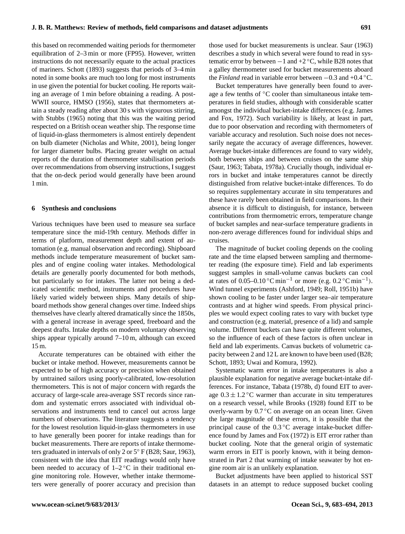this based on recommended waiting periods for thermometer equilibration of 2–3 min or more (FP95). However, written instructions do not necessarily equate to the actual practices of mariners. Schott (1893) suggests that periods of 3–4 min noted in some books are much too long for most instruments in use given the potential for bucket cooling. He reports waiting an average of 1 min before obtaining a reading. A post-WWII source, HMSO (1956), states that thermometers attain a steady reading after about 30 s with vigourous stirring, with Stubbs (1965) noting that this was the waiting period respected on a British ocean weather ship. The response time of liquid-in-glass thermometers is almost entirely dependent on bulb diameter (Nicholas and White, 2001), being longer for larger diameter bulbs. Placing greater weight on actual reports of the duration of thermometer stabilisation periods over recommendations from observing instructions, I suggest that the on-deck period would generally have been around 1 min.

## **6 Synthesis and conclusions**

Various techniques have been used to measure sea surface temperature since the mid-19th century. Methods differ in terms of platform, measurement depth and extent of automation (e.g. manual observation and recording). Shipboard methods include temperature measurement of bucket samples and of engine cooling water intakes. Methodological details are generally poorly documented for both methods, but particularly so for intakes. The latter not being a dedicated scientific method, instruments and procedures have likely varied widely between ships. Many details of shipboard methods show general changes over time. Indeed ships themselves have clearly altered dramatically since the 1850s, with a general increase in average speed, freeboard and the deepest drafts. Intake depths on modern voluntary observing ships appear typically around 7–10 m, although can exceed 15 m.

Accurate temperatures can be obtained with either the bucket or intake method. However, measurements cannot be expected to be of high accuracy or precision when obtained by untrained sailors using poorly-calibrated, low-resolution thermometers. This is not of major concern with regards the accuracy of large-scale area-average SST records since random and systematic errors associated with individual observations and instruments tend to cancel out across large numbers of observations. The literature suggests a tendency for the lowest resolution liquid-in-glass thermometers in use to have generally been poorer for intake readings than for bucket measurements. There are reports of intake thermometers graduated in intervals of only 2 or 5◦ F (B28; Saur, 1963), consistent with the idea that EIT readings would only have been needed to accuracy of  $1-2$ °C in their traditional engine monitoring role. However, whether intake thermometers were generally of poorer accuracy and precision than those used for bucket measurements is unclear. Saur (1963) describes a study in which several were found to read in systematic error by between  $-1$  and  $+2$  °C, while B28 notes that a galley thermometer used for bucket measurements aboard the *Finland* read in variable error between  $-0.3$  and  $+0.4$  °C.

Bucket temperatures have generally been found to average a few tenths of ◦C cooler than simultaneous intake temperatures in field studies, although with considerable scatter amongst the individual bucket-intake differences (e.g. James and Fox, 1972). Such variability is likely, at least in part, due to poor observation and recording with thermometers of variable accuracy and resolution. Such noise does not necessarily negate the accuracy of average differences, however. Average bucket-intake differences are found to vary widely, both between ships and between cruises on the same ship (Saur, 1963; Tabata, 1978a). Crucially though, individual errors in bucket and intake temperatures cannot be directly distinguished from relative bucket-intake differences. To do so requires supplementary accurate in situ temperatures and these have rarely been obtained in field comparisons. In their absence it is difficult to distinguish, for instance, between contributions from thermometric errors, temperature change of bucket samples and near-surface temperature gradients in non-zero average differences found for individual ships and cruises.

The magnitude of bucket cooling depends on the cooling rate and the time elapsed between sampling and thermometer reading (the exposure time). Field and lab experiments suggest samples in small-volume canvas buckets can cool at rates of 0.05–0.10 °C min<sup>-1</sup> or more (e.g. 0.2 °C min<sup>-1</sup>). Wind tunnel experiments (Ashford, 1949; Roll, 1951b) have shown cooling to be faster under larger sea–air temperature contrasts and at higher wind speeds. From physical principles we would expect cooling rates to vary with bucket type and construction (e.g. material, presence of a lid) and sample volume. Different buckets can have quite different volumes, so the influence of each of these factors is often unclear in field and lab experiments. Canvas buckets of volumetric capacity between 2 and 12 L are known to have been used (B28; Schott, 1893; Uwai and Komura, 1992).

Systematic warm error in intake temperatures is also a plausible explanation for negative average bucket-intake differences. For instance, Tabata (1978b, d) found EIT to average  $0.3 \pm 1.2$  °C warmer than accurate in situ temperatures on a research vessel, while Brooks (1928) found EIT to be overly-warm by  $0.7 \degree C$  on average on an ocean liner. Given the large magnitude of these errors, it is possible that the principal cause of the 0.3 ◦C average intake-bucket difference found by James and Fox (1972) is EIT error rather than bucket cooling. Note that the general origin of systematic warm errors in EIT is poorly known, with it being demonstrated in Part 2 that warming of intake seawater by hot engine room air is an unlikely explanation.

Bucket adjustments have been applied to historical SST datasets in an attempt to reduce supposed bucket cooling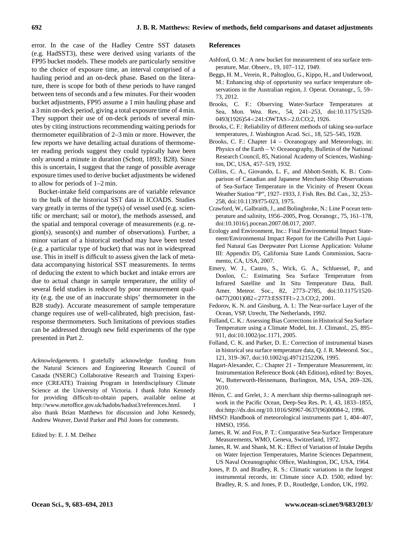error. In the case of the Hadley Centre SST datasets (e.g. HadSST3), these were derived using variants of the FP95 bucket models. These models are particularly sensitive to the choice of exposure time, an interval comprised of a hauling period and an on-deck phase. Based on the literature, there is scope for both of these periods to have ranged between tens of seconds and a few minutes. For their wooden bucket adjustments, FP95 assume a 1 min hauling phase and a 3 min on-deck period, giving a total exposure time of 4 min. They support their use of on-deck periods of several minutes by citing instructions recommending waiting periods for thermometer equilibration of 2–3 min or more. However, the few reports we have detailing actual durations of thermometer reading periods suggest they could typically have been only around a minute in duration (Schott, 1893; B28). Since this is uncertain, I suggest that the range of possible average exposure times used to derive bucket adjustments be widened to allow for periods of 1–2 min.

Bucket-intake field comparisons are of variable relevance to the bulk of the historical SST data in ICOADS. Studies vary greatly in terms of the type(s) of vessel used (e.g. scientific or merchant; sail or motor), the methods assessed, and the spatial and temporal coverage of measurements (e.g. region(s), season(s) and number of observations). Further, a minor variant of a historical method may have been tested (e.g. a particular type of bucket) that was not in widespread use. This in itself is difficult to assess given the lack of metadata accompanying historical SST measurements. In terms of deducing the extent to which bucket and intake errors are due to actual change in sample temperature, the utility of several field studies is reduced by poor measurement quality (e.g. the use of an inaccurate ships' thermometer in the B28 study). Accurate measurement of sample temperature change requires use of well-calibrated, high precision, fastresponse thermometers. Such limitations of previous studies can be addressed through new field experiments of the type presented in Part 2.

*Acknowledgements.* I gratefully acknowledge funding from the Natural Sciences and Engineering Research Council of Canada (NSERC) Collaborative Research and Training Experience (CREATE) Training Program in Interdisciplinary Climate Science at the University of Victoria. I thank John Kennedy for providing difficult-to-obtain papers, available online at [http://www.metoffice.gov.uk/hadobs/hadsst3/references.html.](http://www.metoffice.gov.uk/hadobs/hadsst3/references.html) I also thank Brian Matthews for discussion and John Kennedy, Andrew Weaver, David Parker and Phil Jones for comments.

Edited by: E. J. M. Delhez

## **References**

- Ashford, O. M.: A new bucket for measurement of sea surface temperature, Mar. Observ., 19, 107–112, 1949.
- Beggs, H. M., Verein, R., Paltoglou, G., Kippo, H., and Underwood, M.: Enhancing ship of opportunity sea surface temperature observations in the Australian region, J. Operat. Oceanogr., 5, 59– 73, 2012.
- Brooks, C. F.: Observing Water-Surface Temperatures at Sea, Mon. Wea. Rev., 54, 241–253, doi[:10.1175/1520-](http://dx.doi.org/10.1175/1520-0493(1926)54%3C241:OWTAS%3E2.0.CO;2) [0493\(1926\)54](http://dx.doi.org/10.1175/1520-0493(1926)54%3C241:OWTAS%3E2.0.CO;2)<241:OWTAS>2.0.CO;2, 1926.
- Brooks, C. F.: Reliability of different methods of taking sea-surface temperatures, J. Washington Acad. Sci., 18, 525–545, 1928.
- Brooks, C. F.: Chapter 14 Oceanograpy and Meteorology, in: Physics of the Earth – V: Oceanography, Bulletin of the National Research Council, 85, National Academy of Sciences, Washington, DC, USA, 457–519, 1932.
- Collins, C. A., Giovando, L. F., and Abbott-Smith, K. B.: Comparison of Canadian and Japanese Merchant-Ship Observations of Sea-Surface Temperature in the Vicinity of Present Ocean Weather Station "P", 1927–1933, J. Fish. Res. Bd. Can., 32, 253– 258, doi[:10.1139/f75-023,](http://dx.doi.org/10.1139/f75-023) 1975.
- Crawford, W., Galbraith, J., and Bolingbroke, N.: Line P ocean temperature and salinity, 1956–2005, Prog. Oceanogr., 75, 161–178, doi[:10.1016/j.pocean.2007.08.017,](http://dx.doi.org/10.1016/j.pocean.2007.08.017) 2007.
- Ecology and Environment, Inc.: Final Environmental Impact Statement/Environmental Impact Report for the Cabrillo Port Liquified Natural Gas Deepwater Port License Application: Volume III: Appendix D5, California State Lands Commission, Sacramento, CA, USA, 2007.
- Emery, W. J., Castro, S., Wick, G. A., Schluessel, P., and Donlon, C.: Estimating Sea Surface Temperature from Infrared Satellite and In Situ Temperature Data, Bull. Amer. Meteor. Soc., 82, 2773–2785, doi[:10.1175/1520-](http://dx.doi.org/10.1175/1520-0477(2001)082%3C2773:ESSTFI%3E2.3.CO;2) [0477\(2001\)082](http://dx.doi.org/10.1175/1520-0477(2001)082%3C2773:ESSTFI%3E2.3.CO;2)<2773:ESSTFI>2.3.CO;2, 2001.
- Fedorov, K. N. and Ginsburg, A. I.: The Near-surface Layer of the Ocean, VSP, Utrecht, The Netherlands, 1992.
- Folland, C. K.: Assessing Bias Corrections in Historical Sea Surface Temperature using a Climate Model, Int. J. Climatol., 25, 895– 911, doi[:10.1002/joc.1171,](http://dx.doi.org/10.1002/joc.1171) 2005.
- Folland, C. K. and Parker, D. E.: Correction of instrumental biases in historical sea surface temperature data, Q. J. R. Meteorol. Soc., 121, 319–367, doi[:10.1002/qj.49712152206,](http://dx.doi.org/10.1002/qj.49712152206) 1995.
- Hagart-Alexander, C.: Chapter 21 Temperature Measurement, in: Instrumentation Reference Book (4th Edition), edited by: Boyes, W., Butterworth-Heinemann, Burlington, MA, USA, 269–326, 2010.
- Hénin, C. and Grelet, J.: A merchant ship thermo-salinograph network in the Pacific Ocean, Deep-Sea Res. Pt. I, 43, 1833–1855, doi:http://dx.doi.org/10.1016/S0967-0637(96)00084-2, 1996.
- HMSO: Handbook of meteorological instruments part 1, 404–407, HMSO, 1956.
- James, R. W. and Fox, P. T.: Comparative Sea-Surface Temperature Measurements, WMO, Geneva, Switzerland, 1972.
- James, R. W. and Shank, M. K.: Effect of Variation of Intake Depths on Water Injection Temperatures, Marine Sciences Department, US Naval Oceanographic Office, Washington, DC, USA, 1964.
- Jones, P. D. and Bradley, R. S.: Climatic variations in the longest instrumental records, in: Climate since A.D. 1500, edited by: Bradley, R. S. and Jones, P. D., Routledge, London, UK, 1992.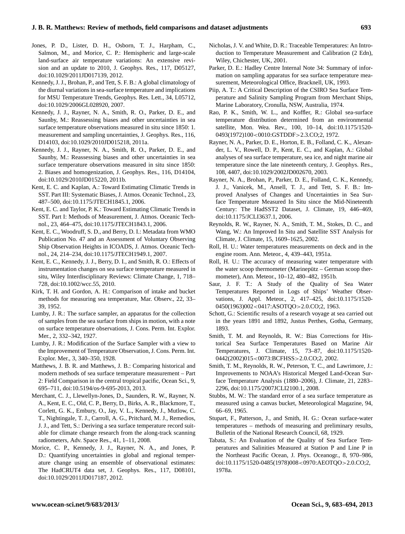# **J. B. R. Matthews: Review of methods, field comparisons and dataset adjustments 693**

- Jones, P. D., Lister, D. H., Osborn, T. J., Harpham, C., Salmon, M., and Morice, C. P.: Hemispheric and large-scale land-surface air temperature variations: An extensive revision and an update to 2010, J. Geophys. Res., 117, D05127, doi[:10.1029/2011JD017139,](http://dx.doi.org/10.1029/2011JD017139) 2012.
- Kennedy, J. J., Brohan, P., and Tett, S. F. B.: A global climatology of the diurnal variations in sea-surface temperature and implications for MSU Temperature Trends, Geophys. Res. Lett., 34, L05712, doi[:10.1029/2006GL028920,](http://dx.doi.org/10.1029/2006GL028920) 2007.
- Kennedy, J. J., Rayner, N. A., Smith, R. O., Parker, D. E., and Saunby, M.: Reassessing biases and other uncertainties in sea surface temperature observations measured in situ since 1850: 1. measurement and sampling uncertainties, J. Geophys. Res., 116, D14103, doi[:10.1029/2010JD015218,](http://dx.doi.org/10.1029/2010JD015218) 2011a.
- Kennedy, J. J., Rayner, N. A., Smith, R. O., Parker, D. E., and Saunby, M.: Reassessing biases and other uncertainties in sea surface temperature observations measured in situ since 1850: 2. Biases and homogenization, J. Geophys. Res., 116, D14104, doi[:10.1029/2010JD015220,](http://dx.doi.org/10.1029/2010JD015220) 2011b.
- Kent, E. C. and Kaplan, A.: Toward Estimating Climatic Trends in SST. Part III: Systematic Biases, J. Atmos. Oceanic Technol., 23, 487–500, doi[:10.1175/JTECH1845.1,](http://dx.doi.org/10.1175/JTECH1845.1) 2006.
- Kent, E. C. and Taylor, P. K.: Toward Estimating Climatic Trends in SST. Part I: Methods of Measurement, J. Atmos. Oceanic Technol., 23, 464–475, doi[:10.1175/JTECH1843.1,](http://dx.doi.org/10.1175/JTECH1843.1) 2006.
- Kent, E. C., Woodruff, S. D., and Berry, D. I.: Metadata from WMO Publication No. 47 and an Assessment of Voluntary Observing Ship Observation Heights in ICOADS, J. Atmos. Oceanic Technol., 24, 214–234, doi[:10.1175/JTECH1949.1,](http://dx.doi.org/10.1175/JTECH1949.1) 2007.
- Kent, E. C., Kennedy, J. J., Berry, D. I., and Smith, R. O.: Effects of instrumentation changes on sea surface temperature measured in situ, Wiley Interdisciplinary Reviews: Climate Change, 1, 718– 728, doi[:10.1002/wcc.55,](http://dx.doi.org/10.1002/wcc.55) 2010.
- Kirk, T. H. and Gordon, A. H.: Comparison of intake and bucket methods for measuring sea temperature, Mar. Observ., 22, 33– 39, 1952.
- Lumby, J. R.: The surface sampler, an apparatus for the collection of samples from the sea surface from ships in motion, with a note on surface temperature observations, J. Cons. Perm. Int. Explor. Mer., 2, 332–342, 1927.
- Lumby, J. R.: Modification of the Surface Sampler with a view to the Improvement of Temperature Observation, J. Cons. Perm. Int. Explor. Mer., 3, 340–350, 1928.
- Matthews, J. B. R. and Matthews, J. B.: Comparing historical and modern methods of sea surface temperature measurement – Part 2: Field Comparison in the central tropical pacific, Ocean Sci., 9, 695–711, doi[:10.5194/os-9-695-2013,](http://dx.doi.org/10.5194/os-9-695-2013) 2013.
- Merchant, C. J., Llewellyn-Jones, D., Saunders, R. W., Rayner, N. A., Kent, E. C., Old, C. P., Berry, D., Birks, A. R., Blackmore, T., Corlett, G. K., Embury, O., Jay, V. L., Kennedy, J., Mutlow, C. T., Nightingale, T. J., Carroll, A. G., Pritchard, M. J., Remedios, J. J., and Tett, S.: Deriving a sea surface temperature record suitable for climate change research from the along-track scanning radiometers, Adv. Space Res., 41, 1–11, 2008.
- Morice, C. P., Kennedy, J. J., Rayner, N. A., and Jones, P. D.: Quantifying uncertainties in global and regional temperature change using an ensemble of observational estimates: The HadCRUT4 data set, J. Geophys. Res., 117, D08101, doi[:10.1029/2011JD017187,](http://dx.doi.org/10.1029/2011JD017187) 2012.
- Nicholas, J. V. and White, D. R.: Traceable Temperatures: An Introduction to Temperature Measurement and Calibration (2 Edn), Wiley, Chichester, UK, 2001.
- Parker, D. E.: Hadley Centre Internal Note 34: Summary of information on sampling apparatus for sea surface temperature measurement, Meteorological Office, Bracknell, UK, 1993.
- Piip, A. T.: A Critical Description of the CSIRO Sea Surface Temperature and Salinity Sampling Program from Merchant Ships, Marine Laboratory, Cronulla, NSW, Australia, 1974.
- Rao, P. K., Smith, W. L., and Koffler, R.: Global sea-surface temperature distribution determined from an environmental satellite, Mon. Wea. Rev., 100, 10–14, doi[:10.1175/1520-](http://dx.doi.org/10.1175/1520-0493(1972)100%3C0010:GSTDDF%3E2.3.CO;2) 0493(1972)100<[0010:GSTDDF](http://dx.doi.org/10.1175/1520-0493(1972)100%3C0010:GSTDDF%3E2.3.CO;2)>2.3.CO;2, 1972.
- Rayner, N. A., Parker, D. E., Horton, E. B., Folland, C. K., Alexander, L. V., Rowell, D. P., Kent, E. C., and Kaplan, A.: Global analyses of sea surface temperature, sea ice, and night marine air temperature since the late nineteenth century, J. Geophys. Res., 108, 4407, doi[:10.1029/2002JD002670,](http://dx.doi.org/10.1029/2002JD002670) 2003.
- Rayner, N. A., Brohan, P., Parker, D. E., Folland, C. K., Kennedy, J. J., Vanicek, M., Ansell, T. J., and Tett, S. F. B.: Improved Analyses of Changes and Uncertainties in Sea Surface Temperature Measured In Situ since the Mid-Nineteenth Century: The HadSST2 Dataset, J. Climate, 19, 446–469, doi[:10.1175/JCLI3637.1,](http://dx.doi.org/10.1175/JCLI3637.1) 2006.
- Reynolds, R. W., Rayner, N. A., Smith, T. M., Stokes, D. C., and Wang, W.: An Improved In Situ and Satellite SST Analysis for Climate, J. Climate, 15, 1609–1625, 2002.
- Roll, H. U.: Water temperatures measurements on deck and in the engine room. Ann. Meteor., 4, 439–443, 1951a.
- Roll, H. U.: The accuracy of measuring water temperature with the water scoop thermometer (Marinepütz – German scoop thermometer), Ann. Meteor., 10–12, 480–482, 1951b.
- Saur, J. F. T.: A Study of the Quality of Sea Water Temperatures Reported in Logs of Ships' Weather Observations, J. Appl. Meteor., 2, 417–425, doi[:10.1175/1520-](http://dx.doi.org/10.1175/1520-0450(1963)002%3C0417:ASOTQO%3E2.0.CO;2) 0450(1963)002<[0417:ASOTQO](http://dx.doi.org/10.1175/1520-0450(1963)002%3C0417:ASOTQO%3E2.0.CO;2)>2.0.CO;2, 1963.
- Schott, G.: Scientific results of a research voyage at sea carried out in the years 1891 and 1892, Justus Perthes, Gotha, Germany, 1893.
- Smith, T. M. and Reynolds, R. W.: Bias Corrections for Historical Sea Surface Temperatures Based on Marine Air Temperatures, J. Climate, 15, 73–87, doi[:10.1175/1520-](http://dx.doi.org/10.1175/1520-0442(2002)015%3C0073:BCFHSS%3E2.0.CO;2) [0442\(2002\)015](http://dx.doi.org/10.1175/1520-0442(2002)015%3C0073:BCFHSS%3E2.0.CO;2)<0073:BCFHSS>2.0.CO;2, 2002.
- Smith, T. M., Reynolds, R. W., Peterson, T. C., and Lawrimore, J.: Improvements to NOAA's Historical Merged Land-Ocean Surface Temperature Analysis (1880–2006), J. Climate, 21, 2283– 2296, doi[:10.1175/2007JCLI2100.1,](http://dx.doi.org/10.1175/2007JCLI2100.1) 2008.
- Stubbs, M. W.: The standard error of a sea surface temperature as measured using a canvas bucket, Meteorological Magazine, 94, 66–69, 1965.
- Stupart, F., Patterson, J., and Smith, H. G.: Ocean surface-water temperatures – methods of measuring and preliminary results, Bulletin of the National Research Council, 68, 1929.
- Tabata, S.: An Evaluation of the Quality of Sea Surface Temperatures and Salinities Measured at Station P and Line P in the Northeast Pacific Ocean, J. Phys. Oceanogr., 8, 970–986, doi[:10.1175/1520-0485\(1978\)008](http://dx.doi.org/10.1175/1520-0485(1978)008%3C0970:AEOTQO%3E2.0.CO;2)<0970:AEOTQO>2.0.CO;2, 1978a.